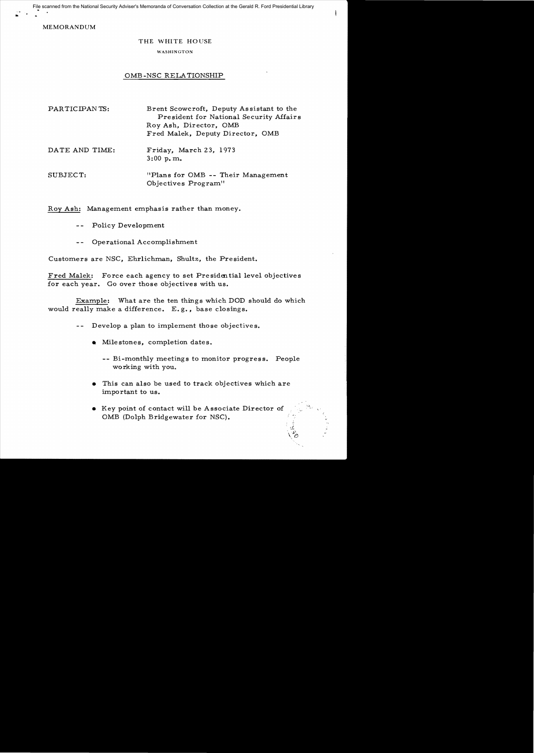File scanned from the National Security Adviser's Memoranda of Conversation Collection at the Gerald R. Ford Presidential Library

MEMORANDUM

..

## THE WHITE HOUSE

## WASHINGTON

## OMB -NSC RELATIONSHIP

| PARTICIPANTS:  | Brent Scowcroft, Deputy Assistant to the<br>President for National Security Affairs<br>Roy Ash, Director, OMB<br>Fred Malek, Deputy Director, OMB |
|----------------|---------------------------------------------------------------------------------------------------------------------------------------------------|
| DATE AND TIME: | Friday, March 23, 1973<br>$3:00$ p.m.                                                                                                             |
| SUBJECT:       | "Plans for OMB -- Their Management"<br>Objectives Program"                                                                                        |

Roy Ash: Management emphasis rather than money.

- Policy Development  $\sim$   $\sim$
- Operational Accomplishment  $- -$

Customers are NSC, Ehrlichman, Shultz, the President.

Fred Malek: Force each agency to set Presidential level objectives for each year. Go over those objectives with us.

Example: What are the ten things which DOD should do which would really make a difference. E. g., base closings.

- $-$ Develop a plan to implement those objectives.
	- $\bullet$  Milestones, completion dates.
		- -- Bi-monthly meetings to monitor progress. People working with you.

"

- This can also be used to track objectives which are important to us.
- Key point of contact will be Associate Director of OMB (Dolph Bridgewater for NSC).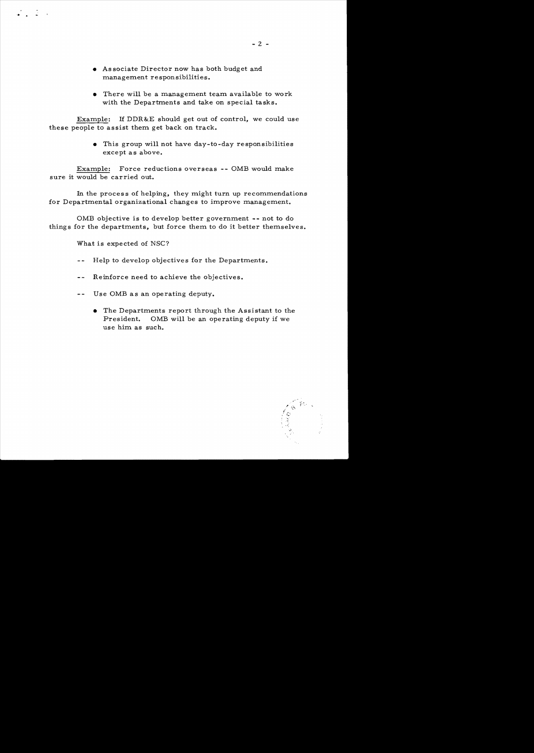- As sociate Director now has both budget and management responsibilities.
- There will be a management team available to work with the Departments and take on special tasks.

Example: H DDR&E should get out of control, we could use these people to assist them get back on track.

> • This group will not have day-to-day responsibilities except as above.

Example: Force reductions overseas -- OMB would make sure it would be carried out.

In the proces s of helping, they might turn up recommendations for Departmental organizational changes to improve management.

OMB objective is to develop better government -- not to do things for the departments, but force them to do it better themselves.

What is expected of NSC?

 $\mathcal{L}$  .  $\mathcal{L}$  .

- Help to develop objectives for the Departments.  $-$
- Reinforce need to achieve the objectives.  $- -$
- -- Use OMB as an operating deputy.
	- The Departments report through the Assistant to the President. OMB will be an operating deputy if we use him as such.

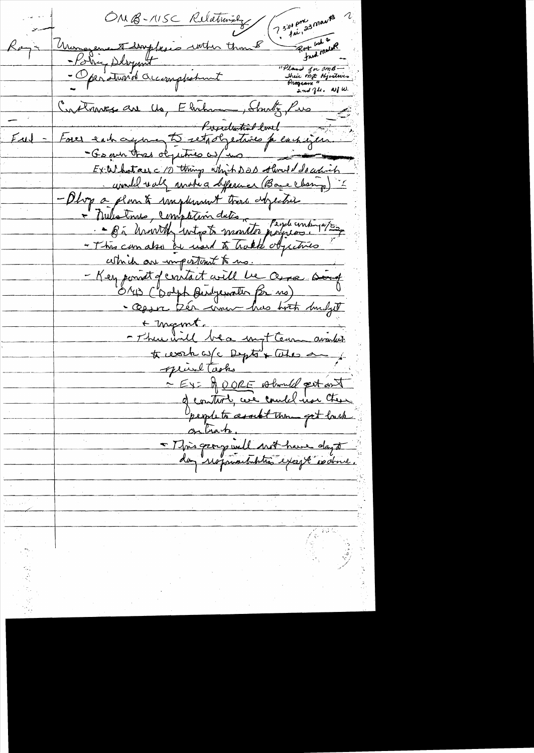OMB-115C Relationsky 2 3:00 pm Union en Floydesis with though<br>- Policy Debyent<br>- Operations accomplationt Roy ask a  $R_{\ell}$ "Pland for omb -<br>Sheir mit objectwes and  $7\mu$ . W/W. Crothaves au 16, Elisham, Stante, Pris Fores each agree to retachement du cancier.  $F_{\mathcal{A}}$ indel valg matica diference (Base Change) "I - Phop a plan & maplement tros dependent - Milatines, completion dates, Peydecontinates, cette de mportant to us. - Key point de mitait will be avec soit · Opor très mon has both mulget + megant. - There will be a myt team availer treverhaufe Deption Cutes and privat tasks - EX- gerer should pet ont - Mis group in le mot have day à